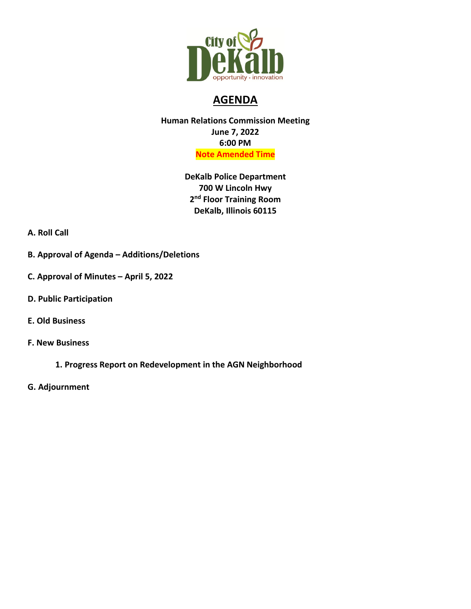

# **AGENDA**

**Human Relations Commission Meeting June 7, 2022 6:00 PM Note Amended Time**

> **DeKalb Police Department 700 W Lincoln Hwy 2nd Floor Training Room DeKalb, Illinois 60115**

- **A. Roll Call**
- **B. Approval of Agenda – Additions/Deletions**
- **C. Approval of Minutes – April 5, 2022**
- **D. Public Participation**
- **E. Old Business**
- **F. New Business**
	- **1. Progress Report on Redevelopment in the AGN Neighborhood**
- **G. Adjournment**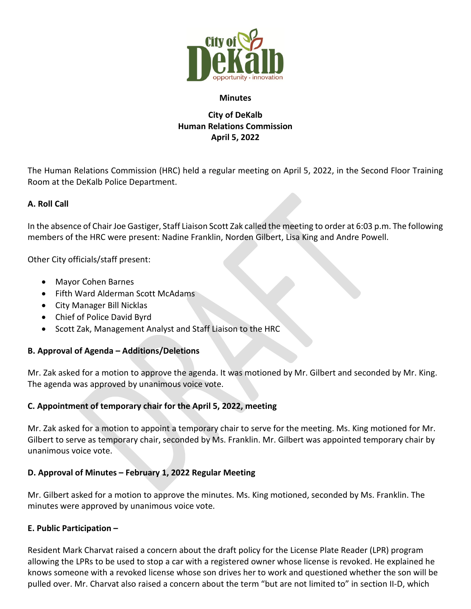

#### **Minutes**

## **City of DeKalb Human Relations Commission April 5, 2022**

The Human Relations Commission (HRC) held a regular meeting on April 5, 2022, in the Second Floor Training Room at the DeKalb Police Department.

#### **A. Roll Call**

In the absence of Chair Joe Gastiger, Staff Liaison Scott Zak called the meeting to order at 6:03 p.m. The following members of the HRC were present: Nadine Franklin, Norden Gilbert, Lisa King and Andre Powell.

Other City officials/staff present:

- Mayor Cohen Barnes
- Fifth Ward Alderman Scott McAdams
- City Manager Bill Nicklas
- Chief of Police David Byrd
- Scott Zak, Management Analyst and Staff Liaison to the HRC

## **B. Approval of Agenda – Additions/Deletions**

Mr. Zak asked for a motion to approve the agenda. It was motioned by Mr. Gilbert and seconded by Mr. King. The agenda was approved by unanimous voice vote.

## **C. Appointment of temporary chair for the April 5, 2022, meeting**

Mr. Zak asked for a motion to appoint a temporary chair to serve for the meeting. Ms. King motioned for Mr. Gilbert to serve as temporary chair, seconded by Ms. Franklin. Mr. Gilbert was appointed temporary chair by unanimous voice vote.

## **D. Approval of Minutes – February 1, 2022 Regular Meeting**

Mr. Gilbert asked for a motion to approve the minutes. Ms. King motioned, seconded by Ms. Franklin. The minutes were approved by unanimous voice vote.

## **E. Public Participation –**

Resident Mark Charvat raised a concern about the draft policy for the License Plate Reader (LPR) program allowing the LPRs to be used to stop a car with a registered owner whose license is revoked. He explained he knows someone with a revoked license whose son drives her to work and questioned whether the son will be pulled over. Mr. Charvat also raised a concern about the term "but are not limited to" in section II-D, which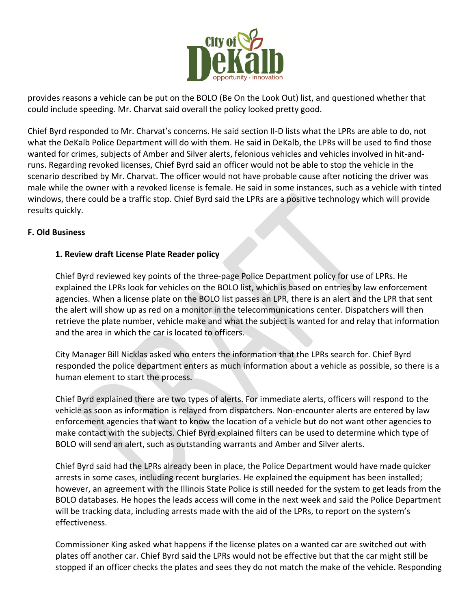

provides reasons a vehicle can be put on the BOLO (Be On the Look Out) list, and questioned whether that could include speeding. Mr. Charvat said overall the policy looked pretty good.

Chief Byrd responded to Mr. Charvat's concerns. He said section II-D lists what the LPRs are able to do, not what the DeKalb Police Department will do with them. He said in DeKalb, the LPRs will be used to find those wanted for crimes, subjects of Amber and Silver alerts, felonious vehicles and vehicles involved in hit-andruns. Regarding revoked licenses, Chief Byrd said an officer would not be able to stop the vehicle in the scenario described by Mr. Charvat. The officer would not have probable cause after noticing the driver was male while the owner with a revoked license is female. He said in some instances, such as a vehicle with tinted windows, there could be a traffic stop. Chief Byrd said the LPRs are a positive technology which will provide results quickly.

#### **F. Old Business**

#### **1. Review draft License Plate Reader policy**

Chief Byrd reviewed key points of the three-page Police Department policy for use of LPRs. He explained the LPRs look for vehicles on the BOLO list, which is based on entries by law enforcement agencies. When a license plate on the BOLO list passes an LPR, there is an alert and the LPR that sent the alert will show up as red on a monitor in the telecommunications center. Dispatchers will then retrieve the plate number, vehicle make and what the subject is wanted for and relay that information and the area in which the car is located to officers.

City Manager Bill Nicklas asked who enters the information that the LPRs search for. Chief Byrd responded the police department enters as much information about a vehicle as possible, so there is a human element to start the process.

Chief Byrd explained there are two types of alerts. For immediate alerts, officers will respond to the vehicle as soon as information is relayed from dispatchers. Non-encounter alerts are entered by law enforcement agencies that want to know the location of a vehicle but do not want other agencies to make contact with the subjects. Chief Byrd explained filters can be used to determine which type of BOLO will send an alert, such as outstanding warrants and Amber and Silver alerts.

Chief Byrd said had the LPRs already been in place, the Police Department would have made quicker arrests in some cases, including recent burglaries. He explained the equipment has been installed; however, an agreement with the Illinois State Police is still needed for the system to get leads from the BOLO databases. He hopes the leads access will come in the next week and said the Police Department will be tracking data, including arrests made with the aid of the LPRs, to report on the system's effectiveness.

Commissioner King asked what happens if the license plates on a wanted car are switched out with plates off another car. Chief Byrd said the LPRs would not be effective but that the car might still be stopped if an officer checks the plates and sees they do not match the make of the vehicle. Responding